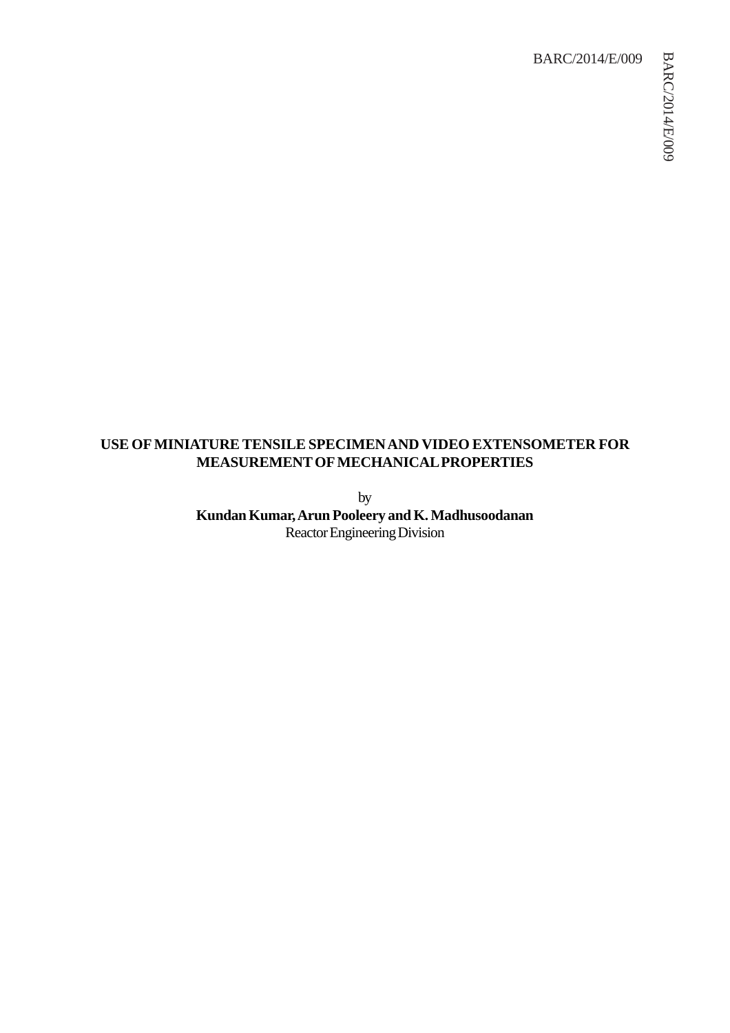### BARC/2014/E/009

## **USE OF MINIATURE TENSILE SPECIMEN AND VIDEO EXTENSOMETER FOR MEASUREMENT OF MECHANICAL PROPERTIES**

by **Kundan Kumar, Arun Pooleery and K. Madhusoodanan** Reactor Engineering Division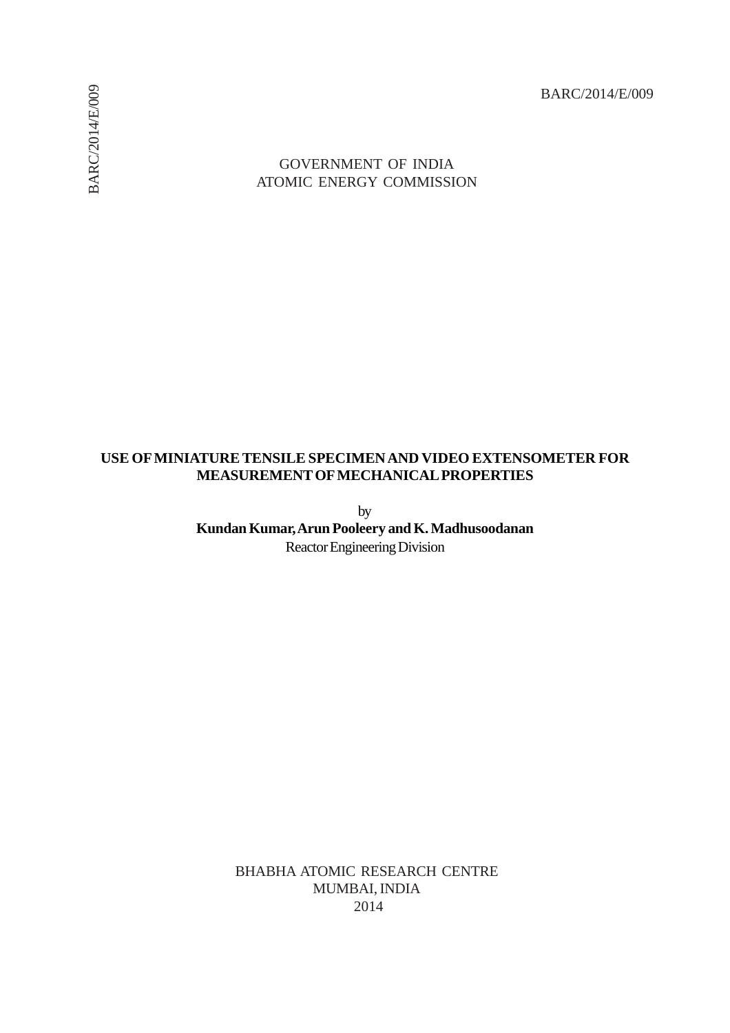BARC/2014/E/009

# GOVERNMENT OF INDIA ATOMIC ENERGY COMMISSION

## **USE OF MINIATURE TENSILE SPECIMEN AND VIDEO EXTENSOMETER FOR MEASUREMENT OF MECHANICAL PROPERTIES**

by **Kundan Kumar, Arun Pooleery and K. Madhusoodanan** Reactor Engineering Division

> BHABHA ATOMIC RESEARCH CENTRE MUMBAI, INDIA 2014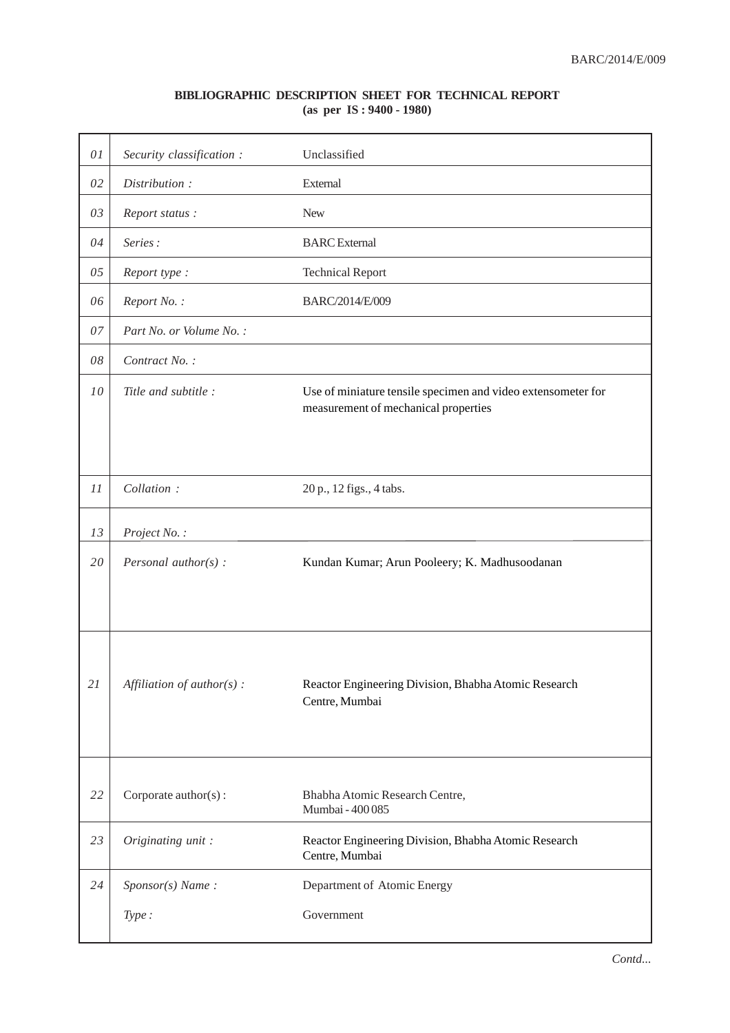### **BIBLIOGRAPHIC DESCRIPTION SHEET FOR TECHNICAL REPORT (as per IS : 9400 - 1980)**

| 01 | Security classification :    | Unclassified                                                                                         |
|----|------------------------------|------------------------------------------------------------------------------------------------------|
| 02 | Distribution:                | External                                                                                             |
| 03 | Report status:               | <b>New</b>                                                                                           |
| 04 | Series:                      | <b>BARC</b> External                                                                                 |
| 05 | Report type:                 | <b>Technical Report</b>                                                                              |
| 06 | Report No.:                  | BARC/2014/E/009                                                                                      |
| 07 | Part No. or Volume No.:      |                                                                                                      |
| 08 | Contract No.:                |                                                                                                      |
| 10 | Title and subtitle :         | Use of miniature tensile specimen and video extensometer for<br>measurement of mechanical properties |
| 11 | Collation:                   | 20 p., 12 figs., 4 tabs.                                                                             |
| 13 | Project No.:                 |                                                                                                      |
| 20 | Personal author( $s$ ) :     | Kundan Kumar; Arun Pooleery; K. Madhusoodanan                                                        |
| 21 | Affiliation of $author(s)$ : | Reactor Engineering Division, Bhabha Atomic Research<br>Centre, Mumbai                               |
| 22 | Corporate author(s):         | Bhabha Atomic Research Centre,<br>Mumbai - 400 085                                                   |
| 23 | Originating unit:            | Reactor Engineering Division, Bhabha Atomic Research<br>Centre, Mumbai                               |
| 24 | $Sponsor(s)$ Name:           | Department of Atomic Energy                                                                          |
|    | Type:                        | Government                                                                                           |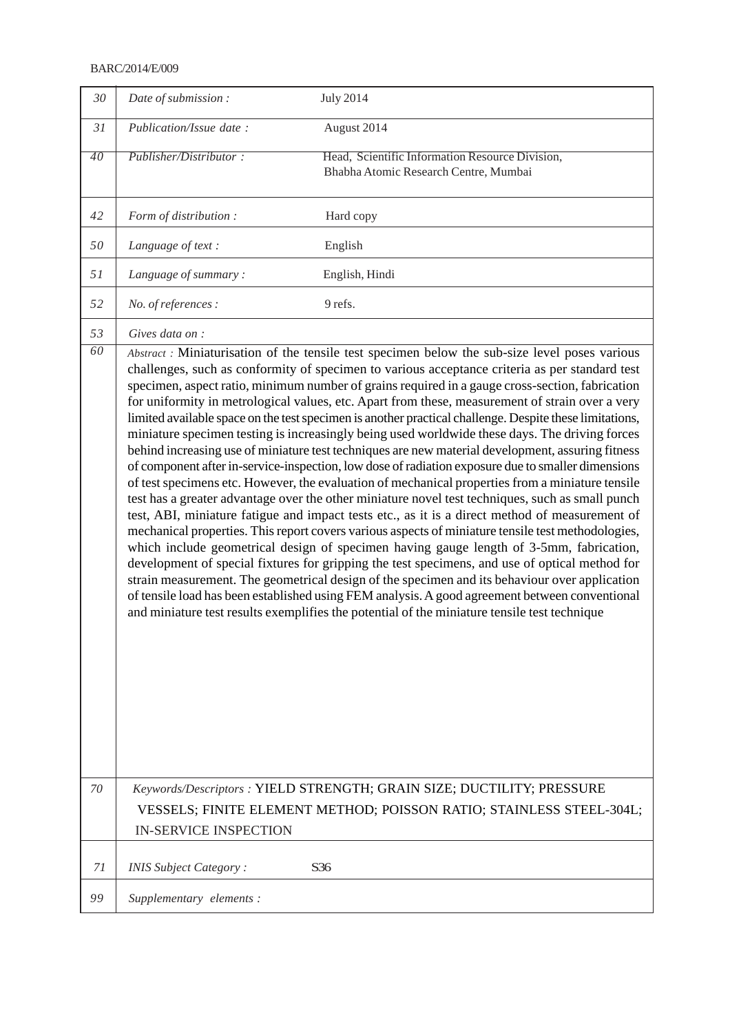#### BARC/2014/E/009

| 30 | Date of submission:           | <b>July 2014</b>                                                                                                                                                                                                                                                                                                                                                                                                                                                                                                                                                                                                                                                                                                                                                                                                                                                                                                                                                                                                                                                                                                                                                                                                                                                                                                                                                                                                                                                                                                                                                                                                                                                                                                                               |
|----|-------------------------------|------------------------------------------------------------------------------------------------------------------------------------------------------------------------------------------------------------------------------------------------------------------------------------------------------------------------------------------------------------------------------------------------------------------------------------------------------------------------------------------------------------------------------------------------------------------------------------------------------------------------------------------------------------------------------------------------------------------------------------------------------------------------------------------------------------------------------------------------------------------------------------------------------------------------------------------------------------------------------------------------------------------------------------------------------------------------------------------------------------------------------------------------------------------------------------------------------------------------------------------------------------------------------------------------------------------------------------------------------------------------------------------------------------------------------------------------------------------------------------------------------------------------------------------------------------------------------------------------------------------------------------------------------------------------------------------------------------------------------------------------|
| 31 | Publication/Issue date:       | August 2014                                                                                                                                                                                                                                                                                                                                                                                                                                                                                                                                                                                                                                                                                                                                                                                                                                                                                                                                                                                                                                                                                                                                                                                                                                                                                                                                                                                                                                                                                                                                                                                                                                                                                                                                    |
| 40 | Publisher/Distributor:        | Head, Scientific Information Resource Division,<br>Bhabha Atomic Research Centre, Mumbai                                                                                                                                                                                                                                                                                                                                                                                                                                                                                                                                                                                                                                                                                                                                                                                                                                                                                                                                                                                                                                                                                                                                                                                                                                                                                                                                                                                                                                                                                                                                                                                                                                                       |
| 42 | Form of distribution :        | Hard copy                                                                                                                                                                                                                                                                                                                                                                                                                                                                                                                                                                                                                                                                                                                                                                                                                                                                                                                                                                                                                                                                                                                                                                                                                                                                                                                                                                                                                                                                                                                                                                                                                                                                                                                                      |
| 50 | Language of text:             | English                                                                                                                                                                                                                                                                                                                                                                                                                                                                                                                                                                                                                                                                                                                                                                                                                                                                                                                                                                                                                                                                                                                                                                                                                                                                                                                                                                                                                                                                                                                                                                                                                                                                                                                                        |
| 51 | Language of summary:          | English, Hindi                                                                                                                                                                                                                                                                                                                                                                                                                                                                                                                                                                                                                                                                                                                                                                                                                                                                                                                                                                                                                                                                                                                                                                                                                                                                                                                                                                                                                                                                                                                                                                                                                                                                                                                                 |
| 52 | No. of references :           | 9 refs.                                                                                                                                                                                                                                                                                                                                                                                                                                                                                                                                                                                                                                                                                                                                                                                                                                                                                                                                                                                                                                                                                                                                                                                                                                                                                                                                                                                                                                                                                                                                                                                                                                                                                                                                        |
| 53 | Gives data on :               |                                                                                                                                                                                                                                                                                                                                                                                                                                                                                                                                                                                                                                                                                                                                                                                                                                                                                                                                                                                                                                                                                                                                                                                                                                                                                                                                                                                                                                                                                                                                                                                                                                                                                                                                                |
| 60 |                               | Abstract : Miniaturisation of the tensile test specimen below the sub-size level poses various<br>challenges, such as conformity of specimen to various acceptance criteria as per standard test<br>specimen, aspect ratio, minimum number of grains required in a gauge cross-section, fabrication<br>for uniformity in metrological values, etc. Apart from these, measurement of strain over a very<br>limited available space on the test specimen is another practical challenge. Despite these limitations,<br>miniature specimen testing is increasingly being used worldwide these days. The driving forces<br>behind increasing use of miniature test techniques are new material development, assuring fitness<br>of component after in-service-inspection, low dose of radiation exposure due to smaller dimensions<br>of test specimens etc. However, the evaluation of mechanical properties from a miniature tensile<br>test has a greater advantage over the other miniature novel test techniques, such as small punch<br>test, ABI, miniature fatigue and impact tests etc., as it is a direct method of measurement of<br>mechanical properties. This report covers various aspects of miniature tensile test methodologies,<br>which include geometrical design of specimen having gauge length of 3-5mm, fabrication,<br>development of special fixtures for gripping the test specimens, and use of optical method for<br>strain measurement. The geometrical design of the specimen and its behaviour over application<br>of tensile load has been established using FEM analysis. A good agreement between conventional<br>and miniature test results exemplifies the potential of the miniature tensile test technique |
| 70 | <b>IN-SERVICE INSPECTION</b>  | Keywords/Descriptors: YIELD STRENGTH; GRAIN SIZE; DUCTILITY; PRESSURE<br>VESSELS; FINITE ELEMENT METHOD; POISSON RATIO; STAINLESS STEEL-304L;                                                                                                                                                                                                                                                                                                                                                                                                                                                                                                                                                                                                                                                                                                                                                                                                                                                                                                                                                                                                                                                                                                                                                                                                                                                                                                                                                                                                                                                                                                                                                                                                  |
| 71 | <b>INIS Subject Category:</b> | S36                                                                                                                                                                                                                                                                                                                                                                                                                                                                                                                                                                                                                                                                                                                                                                                                                                                                                                                                                                                                                                                                                                                                                                                                                                                                                                                                                                                                                                                                                                                                                                                                                                                                                                                                            |
| 99 | Supplementary elements:       |                                                                                                                                                                                                                                                                                                                                                                                                                                                                                                                                                                                                                                                                                                                                                                                                                                                                                                                                                                                                                                                                                                                                                                                                                                                                                                                                                                                                                                                                                                                                                                                                                                                                                                                                                |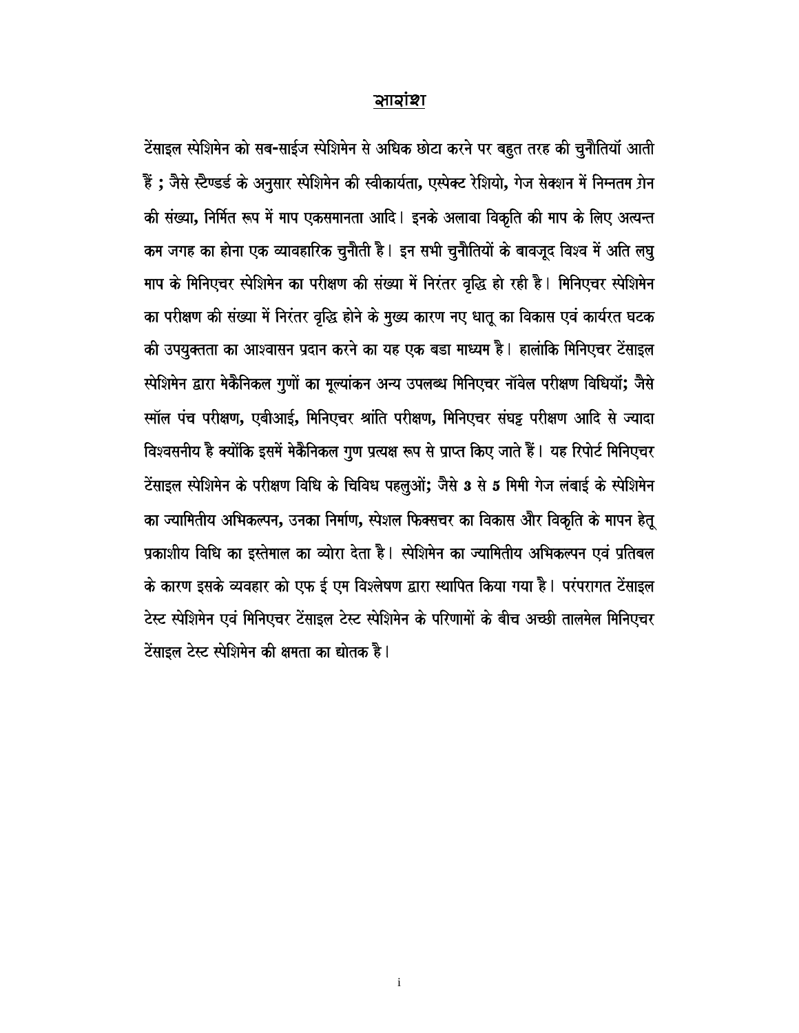### ষায়াঞ্চা

टेंसाइल स्पेशिमेन को सब-साईज स्पेशिमेन से अधिक छोटा करने पर बहुत तरह की चुनौतियाँ आती हैं; जैसे स्टैण्डर्ड के अनुसार स्पेशिमेन की स्वीकार्यता, एस्पेक्ट रेशियो, गेज सेक्शन में निम्नतम ग्रेन की संख्या, निर्मित रूप में माप एकसमानता आदि | इनके अलावा विकृति की माप के लिए अत्यन्त कम जगह का होना एक व्यावहारिक चुनौती है। इन सभी चुनौतियों के बावजूद विश्व में अति लघु माप के मिनिएचर स्पेशिमेन का परीक्षण की संख्या में निरंतर वृद्धि हो रही है। मिनिएचर स्पेशिमेन का परीक्षण की संख्या में निरंतर वृद्धि होने के मुख्य कारण नए धातू का विकास एवं कार्यरत घटक की उपयुक्तता का आश्वासन प्रदान करने का यह एक बडा माध्यम है। हालांकि मिनिएचर टेंसाइल स्पेशिमेन द्वारा मेकैनिकल गुणों का मूल्यांकन अन्य उपलब्ध मिनिएचर नॉवेल परीक्षण विधियॉ; जैसे स्मॉल पंच परीक्षण, एबीआई, मिनिएचर श्रांति परीक्षण, मिनिएचर संघट्ट परीक्षण आदि से ज्यादा विश्वसनीय है क्योंकि इसमें मेकैनिकल गुण प्रत्यक्ष रूप से प्राप्त किए जाते हैं। यह रिपोर्ट मिनिएचर टेंसाइल स्पेशिमेन के परीक्षण विधि के चिविध पहलुओं; जैसे 3 से 5 मिमी गेज लंबाई के स्पेशिमेन का ज्यामितीय अभिकल्पन, उनका निर्माण, स्पेशल फिक्सचर का विकास और विकृति के मापन हेतू प्रकाशीय विधि का इस्तेमाल का व्योरा देता है। स्पेशिमेन का ज्यामितीय अभिकल्पन एवं प्रतिबल के कारण इसके व्यवहार को एफ ई एम विश्लेषण द्वारा स्थापित किया गया है। परंपरागत टेंसाइल टेस्ट स्पेशिमेन एवं मिनिएचर टेंसाइल टेस्ट स्पेशिमेन के परिणामों के बीच अच्छी तालमेल मिनिएचर टेंसाइल टेस्ट स्पेशिमेन की क्षमता का द्योतक है।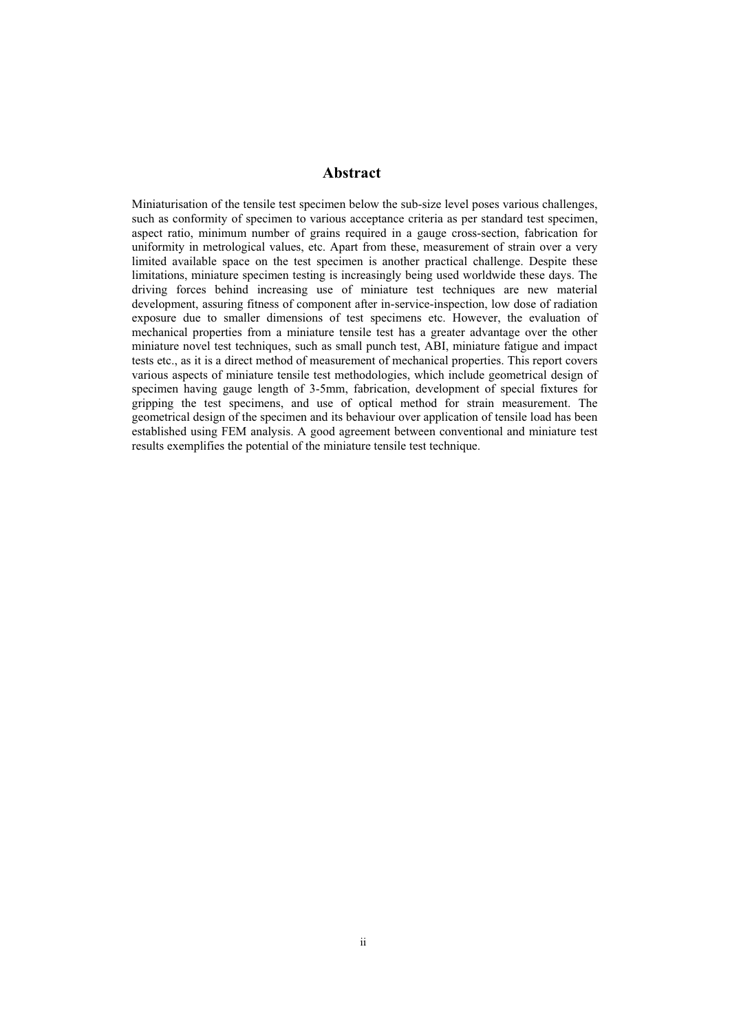#### **Abstract Abstract**

Miniaturisation of the tensile test specimen below the sub-size level poses various challenges, such as conformity of specimen to various acceptance criteria as per standard test specimen, aspect ratio, minimum number of grains required in a gauge cross-section, fabrication for uniformity in metrological values, etc. Apart from these, measurement of strain over a very limited available space on the test specimen is another practical challenge. Despite these limitations, miniature specimen testing is increasingly being used worldwide these days. The driving forces behind increasing use of miniature test techniques are new material development, assuring fitness of component after in-service-inspection, low dose of radiation exposure due to smaller dimensions of test specimens etc. However, the evaluation of mechanical properties from a miniature tensile test has a greater advantage over the other miniature novel test techniques, such as small punch test, ABI, miniature fatigue and impact tests etc., as it is a direct method of measurement of mechanical properties. This report covers various aspects of miniature tensile test methodologies, which include geometrical design of specimen having gauge length of 3-5mm, fabrication, development of special fixtures for gripping the test specimens, and use of optical method for strain measurement. The geometrical design of the specimen and its behaviour over application of tensile load has been established using FEM analysis. A good agreement between conventional and miniature test results exemplifies the potential of the miniature tensile test technique.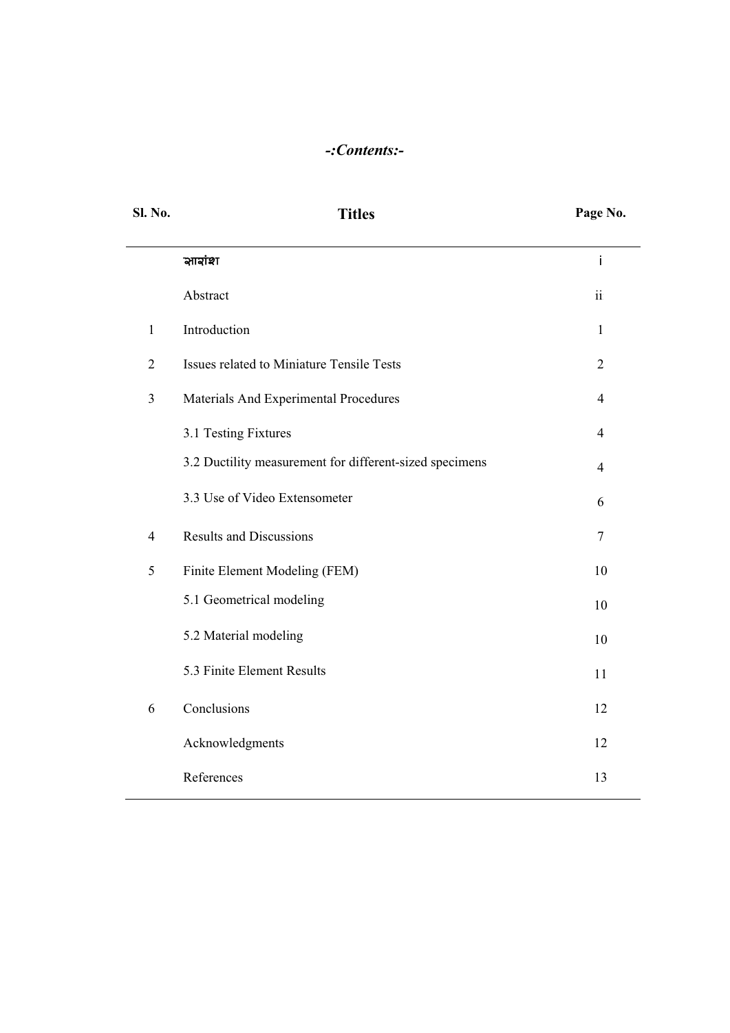# *-:Contents:-*

| Sl. No.        | <b>Titles</b>                                           | Page No.       |
|----------------|---------------------------------------------------------|----------------|
|                | সাহাঁথা                                                 | İ              |
|                | Abstract                                                | ii             |
| $\mathbf{1}$   | Introduction                                            | $\mathbf{1}$   |
| $\overline{2}$ | Issues related to Miniature Tensile Tests               | $\overline{2}$ |
| 3              | Materials And Experimental Procedures                   | $\overline{4}$ |
|                | 3.1 Testing Fixtures                                    | $\overline{4}$ |
|                | 3.2 Ductility measurement for different-sized specimens | $\overline{4}$ |
|                | 3.3 Use of Video Extensometer                           | 6              |
| $\overline{4}$ | <b>Results and Discussions</b>                          | $\tau$         |
| 5              | Finite Element Modeling (FEM)                           | 10             |
|                | 5.1 Geometrical modeling                                | 10             |
|                | 5.2 Material modeling                                   | 10             |
|                | 5.3 Finite Element Results                              | 11             |
| 6              | Conclusions                                             | 12             |
|                | Acknowledgments                                         | 12             |
|                | References                                              | 13             |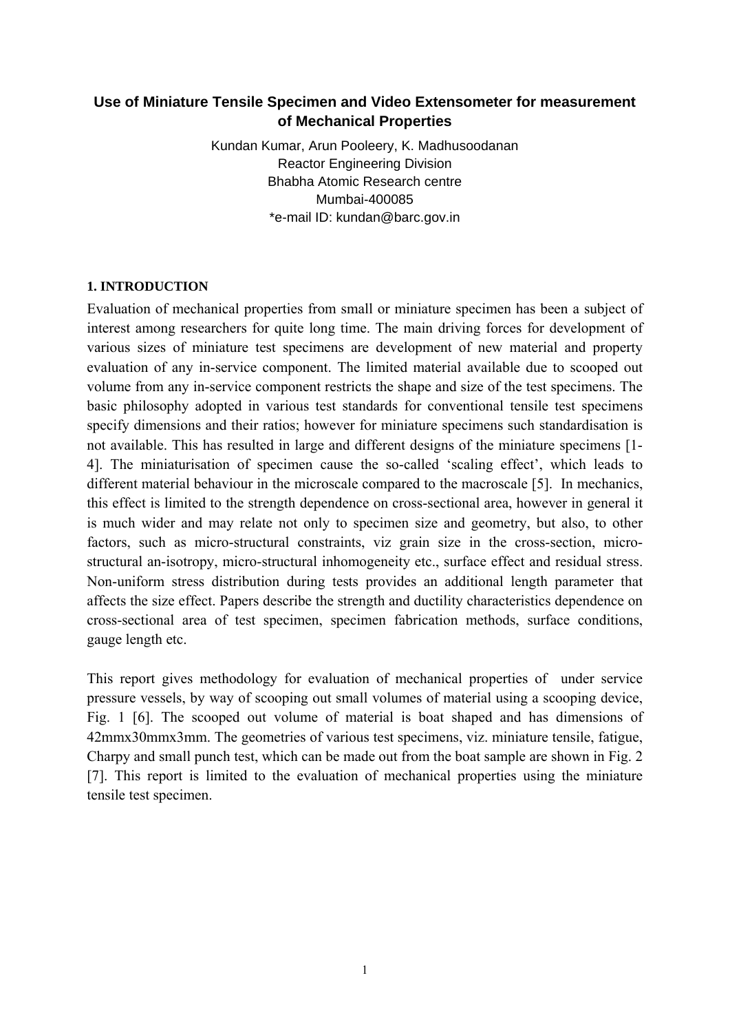# **Use of Miniature Tensile Specimen and Video Extensometer for measurement of Mechanical Properties**

Kundan Kumar, Arun Pooleery, K. Madhusoodanan Reactor Engineering Division Bhabha Atomic Research centre Mumbai-400085 \*e-mail ID: kundan@barc.gov.in

### **1. INTRODUCTION**

Evaluation of mechanical properties from small or miniature specimen has been a subject of interest among researchers for quite long time. The main driving forces for development of various sizes of miniature test specimens are development of new material and property evaluation of any in-service component. The limited material available due to scooped out volume from any in-service component restricts the shape and size of the test specimens. The basic philosophy adopted in various test standards for conventional tensile test specimens specify dimensions and their ratios; however for miniature specimens such standardisation is not available. This has resulted in large and different designs of the miniature specimens [1- 4]. The miniaturisation of specimen cause the so-called 'scaling effect', which leads to different material behaviour in the microscale compared to the macroscale [5]. In mechanics, this effect is limited to the strength dependence on cross-sectional area, however in general it is much wider and may relate not only to specimen size and geometry, but also, to other factors, such as micro-structural constraints, viz grain size in the cross-section, microstructural an-isotropy, micro-structural inhomogeneity etc., surface effect and residual stress. Non-uniform stress distribution during tests provides an additional length parameter that affects the size effect. Papers describe the strength and ductility characteristics dependence on cross-sectional area of test specimen, specimen fabrication methods, surface conditions, gauge length etc.

This report gives methodology for evaluation of mechanical properties of under service pressure vessels, by way of scooping out small volumes of material using a scooping device, Fig. 1 [6]. The scooped out volume of material is boat shaped and has dimensions of 42mmx30mmx3mm. The geometries of various test specimens, viz. miniature tensile, fatigue, Charpy and small punch test, which can be made out from the boat sample are shown in Fig. 2 [7]. This report is limited to the evaluation of mechanical properties using the miniature tensile test specimen.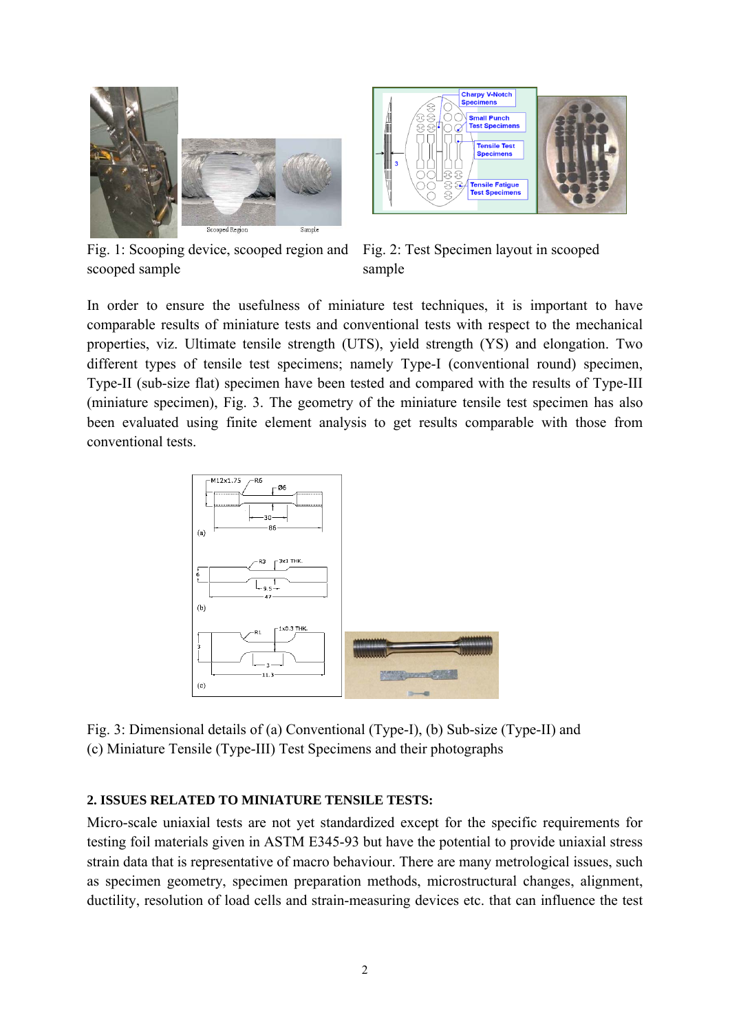

Fig. 1: Scooping device, scooped region and scooped sample



Fig. 2: Test Specimen layout in scooped sample

In order to ensure the usefulness of miniature test techniques, it is important to have comparable results of miniature tests and conventional tests with respect to the mechanical properties, viz. Ultimate tensile strength (UTS), yield strength (YS) and elongation. Two different types of tensile test specimens; namely Type-I (conventional round) specimen, Type-II (sub-size flat) specimen have been tested and compared with the results of Type-III (miniature specimen), Fig. 3. The geometry of the miniature tensile test specimen has also been evaluated using finite element analysis to get results comparable with those from conventional tests.



Fig. 3: Dimensional details of (a) Conventional (Type-I), (b) Sub-size (Type-II) and (c) Miniature Tensile (Type-III) Test Specimens and their photographs

# **2. ISSUES RELATED TO MINIATURE TENSILE TESTS:**

Micro-scale uniaxial tests are not yet standardized except for the specific requirements for testing foil materials given in ASTM E345-93 but have the potential to provide uniaxial stress strain data that is representative of macro behaviour. There are many metrological issues, such as specimen geometry, specimen preparation methods, microstructural changes, alignment, ductility, resolution of load cells and strain-measuring devices etc. that can influence the test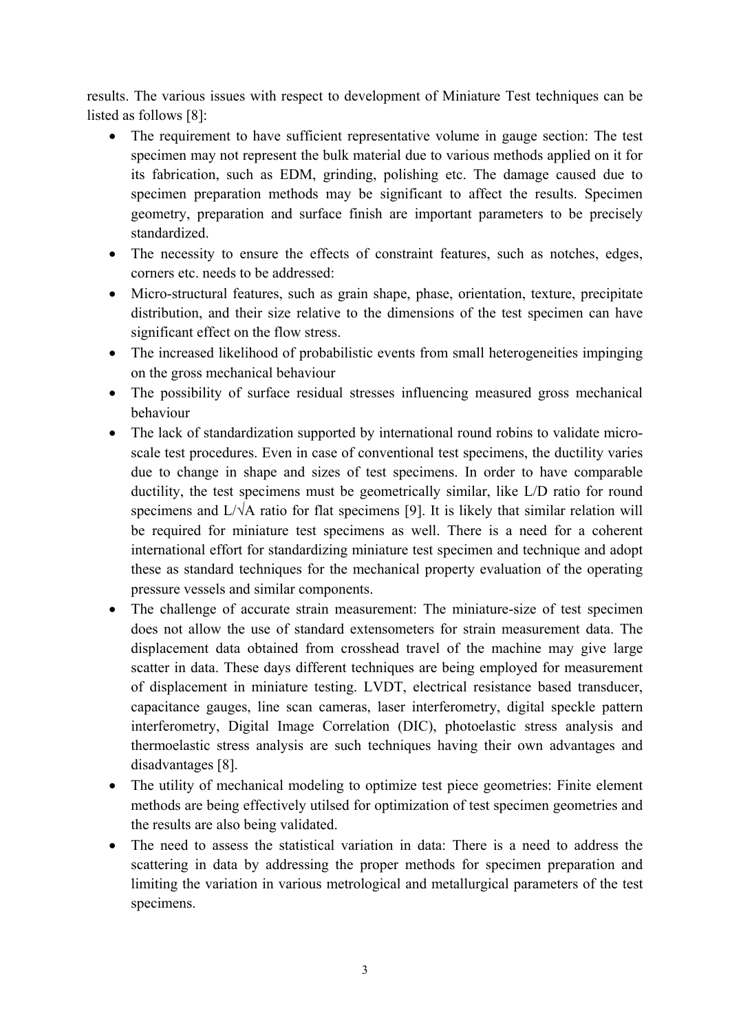results. The various issues with respect to development of Miniature Test techniques can be listed as follows [8]:

- The requirement to have sufficient representative volume in gauge section: The test specimen may not represent the bulk material due to various methods applied on it for its fabrication, such as EDM, grinding, polishing etc. The damage caused due to specimen preparation methods may be significant to affect the results. Specimen geometry, preparation and surface finish are important parameters to be precisely standardized.
- The necessity to ensure the effects of constraint features, such as notches, edges, corners etc. needs to be addressed:
- Micro-structural features, such as grain shape, phase, orientation, texture, precipitate distribution, and their size relative to the dimensions of the test specimen can have significant effect on the flow stress.
- The increased likelihood of probabilistic events from small heterogeneities impinging on the gross mechanical behaviour
- The possibility of surface residual stresses influencing measured gross mechanical behaviour
- The lack of standardization supported by international round robins to validate microscale test procedures. Even in case of conventional test specimens, the ductility varies due to change in shape and sizes of test specimens. In order to have comparable ductility, the test specimens must be geometrically similar, like L/D ratio for round specimens and L/√A ratio for flat specimens [9]. It is likely that similar relation will be required for miniature test specimens as well. There is a need for a coherent international effort for standardizing miniature test specimen and technique and adopt these as standard techniques for the mechanical property evaluation of the operating pressure vessels and similar components.
- The challenge of accurate strain measurement: The miniature-size of test specimen does not allow the use of standard extensometers for strain measurement data. The displacement data obtained from crosshead travel of the machine may give large scatter in data. These days different techniques are being employed for measurement of displacement in miniature testing. LVDT, electrical resistance based transducer, capacitance gauges, line scan cameras, laser interferometry, digital speckle pattern interferometry, Digital Image Correlation (DIC), photoelastic stress analysis and thermoelastic stress analysis are such techniques having their own advantages and disadvantages [8].
- The utility of mechanical modeling to optimize test piece geometries: Finite element methods are being effectively utilsed for optimization of test specimen geometries and the results are also being validated.
- The need to assess the statistical variation in data: There is a need to address the scattering in data by addressing the proper methods for specimen preparation and limiting the variation in various metrological and metallurgical parameters of the test specimens.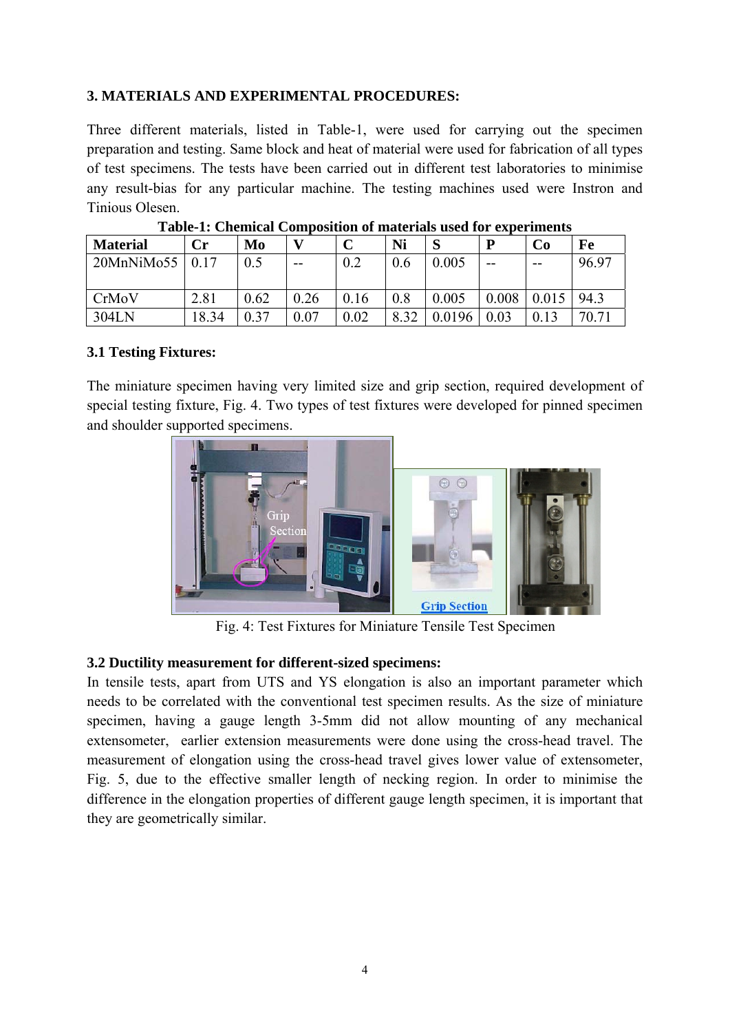# **3. MATERIALS AND EXPERIMENTAL PROCEDURES:**

Three different materials, listed in Table-1, were used for carrying out the specimen preparation and testing. Same block and heat of material were used for fabrication of all types of test specimens. The tests have been carried out in different test laboratories to minimise any result-bias for any particular machine. The testing machines used were Instron and Tinious Olesen.

| <b>Material</b> | Сr    | Mo   |       | $\Gamma$ | Ni   | S      | P     | Co    | Fe    |
|-----------------|-------|------|-------|----------|------|--------|-------|-------|-------|
| 20MnNiMo55      | 0.17  | 0.5  | $- -$ | 0.2      | 0.6  | 0.005  | --    | $- -$ | 96.97 |
|                 |       |      |       |          |      |        |       |       |       |
| CrMoV           | 2.81  | 0.62 | 0.26  | 0.16     | 0.8  | 0.005  | 0.008 | 0.015 | 94.3  |
| 304LN           | 18.34 | 0.37 | 0.07  | 0.02     | 8.32 | 0.0196 | 0.03  |       | 70.71 |

**Table-1: Chemical Composition of materials used for experiments** 

### **3.1 Testing Fixtures:**

The miniature specimen having very limited size and grip section, required development of special testing fixture, Fig. 4. Two types of test fixtures were developed for pinned specimen and shoulder supported specimens.



Fig. 4: Test Fixtures for Miniature Tensile Test Specimen

# **3.2 Ductility measurement for different-sized specimens:**

In tensile tests, apart from UTS and YS elongation is also an important parameter which needs to be correlated with the conventional test specimen results. As the size of miniature specimen, having a gauge length 3-5mm did not allow mounting of any mechanical extensometer, earlier extension measurements were done using the cross-head travel. The measurement of elongation using the cross-head travel gives lower value of extensometer, Fig. 5, due to the effective smaller length of necking region. In order to minimise the difference in the elongation properties of different gauge length specimen, it is important that they are geometrically similar.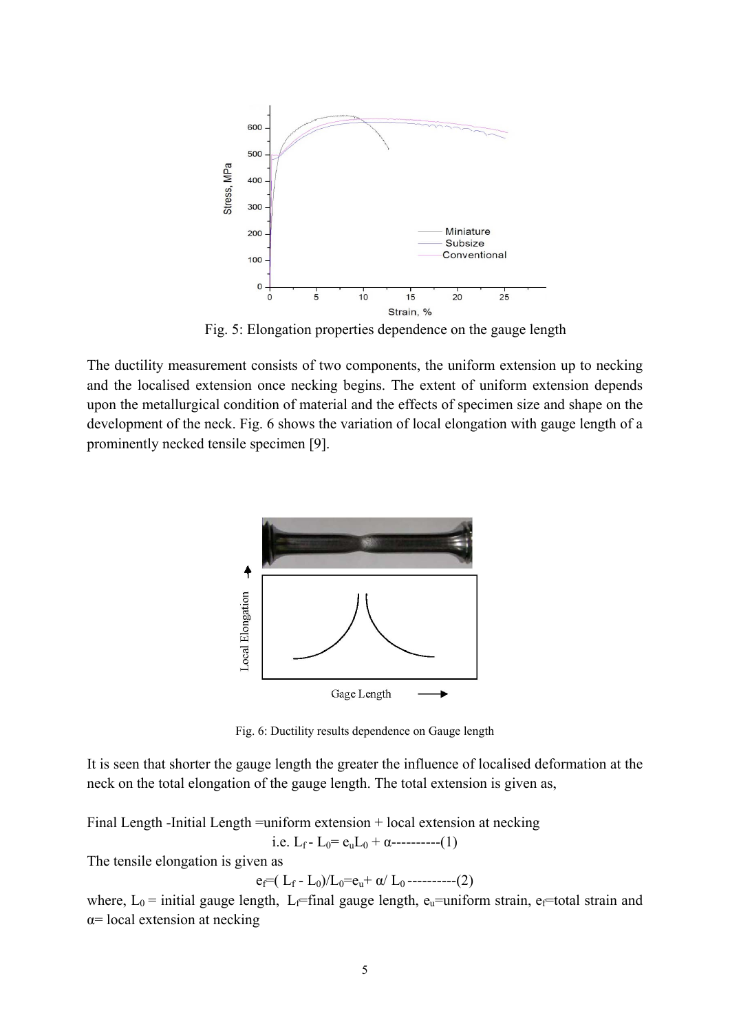

Fig. 5: Elongation properties dependence on the gauge length

The ductility measurement consists of two components, the uniform extension up to necking and the localised extension once necking begins. The extent of uniform extension depends upon the metallurgical condition of material and the effects of specimen size and shape on the development of the neck. Fig. 6 shows the variation of local elongation with gauge length of a prominently necked tensile specimen [9].



Fig. 6: Ductility results dependence on Gauge length

It is seen that shorter the gauge length the greater the influence of localised deformation at the neck on the total elongation of the gauge length. The total extension is given as,

Final Length -Initial Length =uniform extension + local extension at necking i.e.  $L_f - L_0 = e_u L_0 + \alpha$ ----------(1)

The tensile elongation is given as

$$
e_f = (L_f - L_0)/L_0 = e_u + \alpha / L_0 - \cdots - (2)
$$

where,  $L_0$  = initial gauge length, L<sub>f</sub>=final gauge length, e<sub>u</sub>=uniform strain, e<sub>f</sub>=total strain and  $\alpha$ = local extension at necking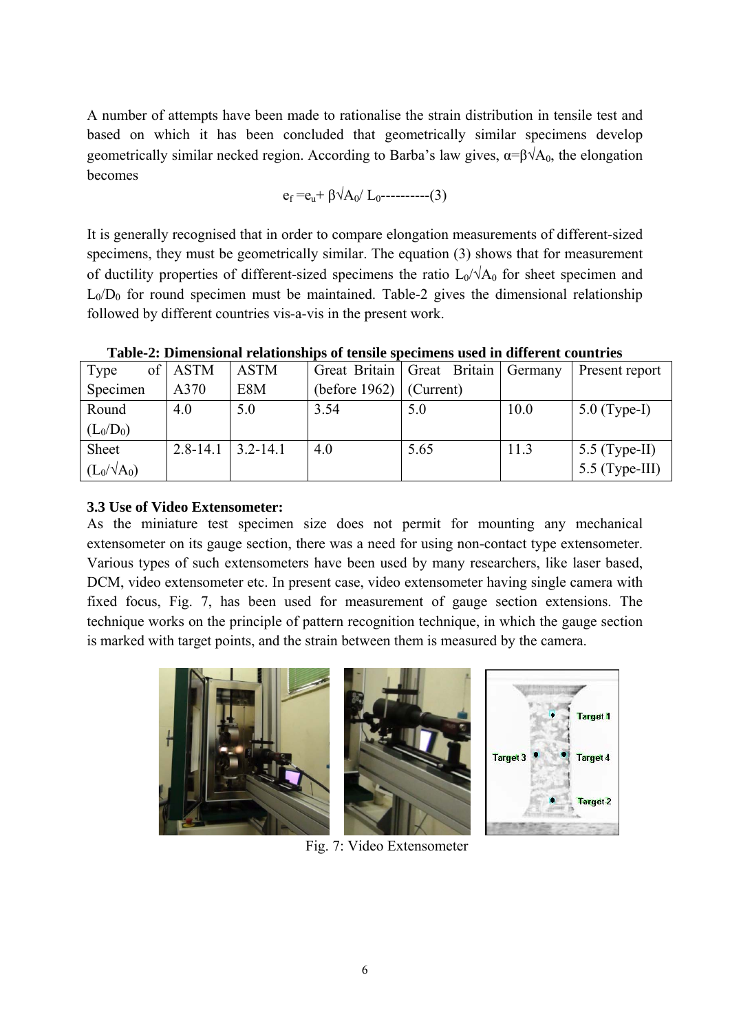A number of attempts have been made to rationalise the strain distribution in tensile test and based on which it has been concluded that geometrically similar specimens develop geometrically similar necked region. According to Barba's law gives,  $\alpha = \beta \sqrt{A_0}$ , the elongation becomes

$$
e_f = e_u + \beta \sqrt{A_0 / L_0}
$$
---(3)

It is generally recognised that in order to compare elongation measurements of different-sized specimens, they must be geometrically similar. The equation (3) shows that for measurement of ductility properties of different-sized specimens the ratio  $L_0/\sqrt{A_0}$  for sheet specimen and  $L_0/D_0$  for round specimen must be maintained. Table-2 gives the dimensional relationship followed by different countries vis-a-vis in the present work.

| Type               | of   ASTM    | <b>ASTM</b>  |                  | Great Britain   Great Britain   Germany |      | Present report   |
|--------------------|--------------|--------------|------------------|-----------------------------------------|------|------------------|
| Specimen           | A370         | E8M          | (before $1962$ ) | (Current)                               |      |                  |
| Round              | 4.0          | 5.0          | 3.54             | 5.0                                     | 10.0 | $5.0$ (Type-I)   |
| $(L_0/D_0)$        |              |              |                  |                                         |      |                  |
| Sheet              | $2.8 - 14.1$ | $3.2 - 14.1$ | 4.0              | 5.65                                    | 11.3 | 5.5 (Type-II)    |
| $(L_0/\sqrt{A_0})$ |              |              |                  |                                         |      | $5.5$ (Type-III) |

**Table-2: Dimensional relationships of tensile specimens used in different countries** 

# **3.3 Use of Video Extensometer:**

As the miniature test specimen size does not permit for mounting any mechanical extensometer on its gauge section, there was a need for using non-contact type extensometer. Various types of such extensometers have been used by many researchers, like laser based, DCM, video extensometer etc. In present case, video extensometer having single camera with fixed focus, Fig. 7, has been used for measurement of gauge section extensions. The technique works on the principle of pattern recognition technique, in which the gauge section is marked with target points, and the strain between them is measured by the camera.



Fig. 7: Video Extensometer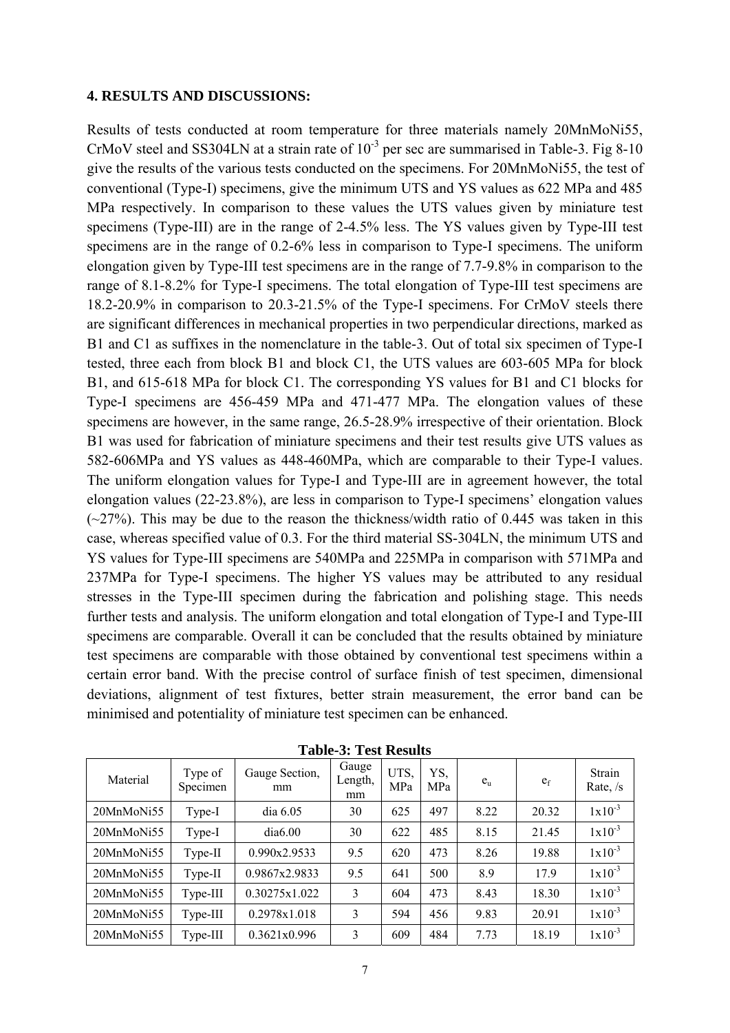#### **4. RESULTS AND DISCUSSIONS:**

Results of tests conducted at room temperature for three materials namely 20MnMoNi55, CrMoV steel and SS304LN at a strain rate of  $10^{-3}$  per sec are summarised in Table-3. Fig 8-10 give the results of the various tests conducted on the specimens. For 20MnMoNi55, the test of conventional (Type-I) specimens, give the minimum UTS and YS values as 622 MPa and 485 MPa respectively. In comparison to these values the UTS values given by miniature test specimens (Type-III) are in the range of 2-4.5% less. The YS values given by Type-III test specimens are in the range of 0.2-6% less in comparison to Type-I specimens. The uniform elongation given by Type-III test specimens are in the range of 7.7-9.8% in comparison to the range of 8.1-8.2% for Type-I specimens. The total elongation of Type-III test specimens are 18.2-20.9% in comparison to 20.3-21.5% of the Type-I specimens. For CrMoV steels there are significant differences in mechanical properties in two perpendicular directions, marked as B1 and C1 as suffixes in the nomenclature in the table-3. Out of total six specimen of Type-I tested, three each from block B1 and block C1, the UTS values are 603-605 MPa for block B1, and 615-618 MPa for block C1. The corresponding YS values for B1 and C1 blocks for Type-I specimens are 456-459 MPa and 471-477 MPa. The elongation values of these specimens are however, in the same range, 26.5-28.9% irrespective of their orientation. Block B1 was used for fabrication of miniature specimens and their test results give UTS values as 582-606MPa and YS values as 448-460MPa, which are comparable to their Type-I values. The uniform elongation values for Type-I and Type-III are in agreement however, the total elongation values (22-23.8%), are less in comparison to Type-I specimens' elongation values  $(\sim 27\%)$ . This may be due to the reason the thickness/width ratio of 0.445 was taken in this case, whereas specified value of 0.3. For the third material SS-304LN, the minimum UTS and YS values for Type-III specimens are 540MPa and 225MPa in comparison with 571MPa and 237MPa for Type-I specimens. The higher YS values may be attributed to any residual stresses in the Type-III specimen during the fabrication and polishing stage. This needs further tests and analysis. The uniform elongation and total elongation of Type-I and Type-III specimens are comparable. Overall it can be concluded that the results obtained by miniature test specimens are comparable with those obtained by conventional test specimens within a certain error band. With the precise control of surface finish of test specimen, dimensional deviations, alignment of test fixtures, better strain measurement, the error band can be minimised and potentiality of miniature test specimen can be enhanced.

| Material   | Type of<br>Specimen | Gauge Section,<br>mm | Gauge<br>Length,<br>mm | UTS,<br>MPa | YS,<br>MPa | $e_{\rm u}$ | e <sub>f</sub> | Strain<br>Rate, $/s$ |
|------------|---------------------|----------------------|------------------------|-------------|------------|-------------|----------------|----------------------|
| 20MnMoNi55 | Type-I              | dia 6.05             | 30                     | 625         | 497        | 8.22        | 20.32          | $1x10^{-3}$          |
| 20MnMoNi55 | Type-I              | dia6.00              | 30                     | 622         | 485        | 8.15        | 21.45          | $1x10^{-3}$          |
| 20MnMoNi55 | Type-II             | 0.990x2.9533         | 9.5                    | 620         | 473        | 8.26        | 19.88          | $1x10^{-3}$          |
| 20MnMoNi55 | Type-II             | 0.9867x2.9833        | 9.5                    | 641         | 500        | 8.9         | 17.9           | $1x10^{-3}$          |
| 20MnMoNi55 | Type-III            | 0.30275x1.022        | 3                      | 604         | 473        | 8.43        | 18.30          | $1x10^{-3}$          |
| 20MnMoNi55 | Type-III            | 0.2978x1.018         | 3                      | 594         | 456        | 9.83        | 20.91          | $1x10^{-3}$          |
| 20MnMoNi55 | Type-III            | 0.3621x0.996         | 3                      | 609         | 484        | 7.73        | 18.19          | $1x10^{-3}$          |

**Table-3: Test Results**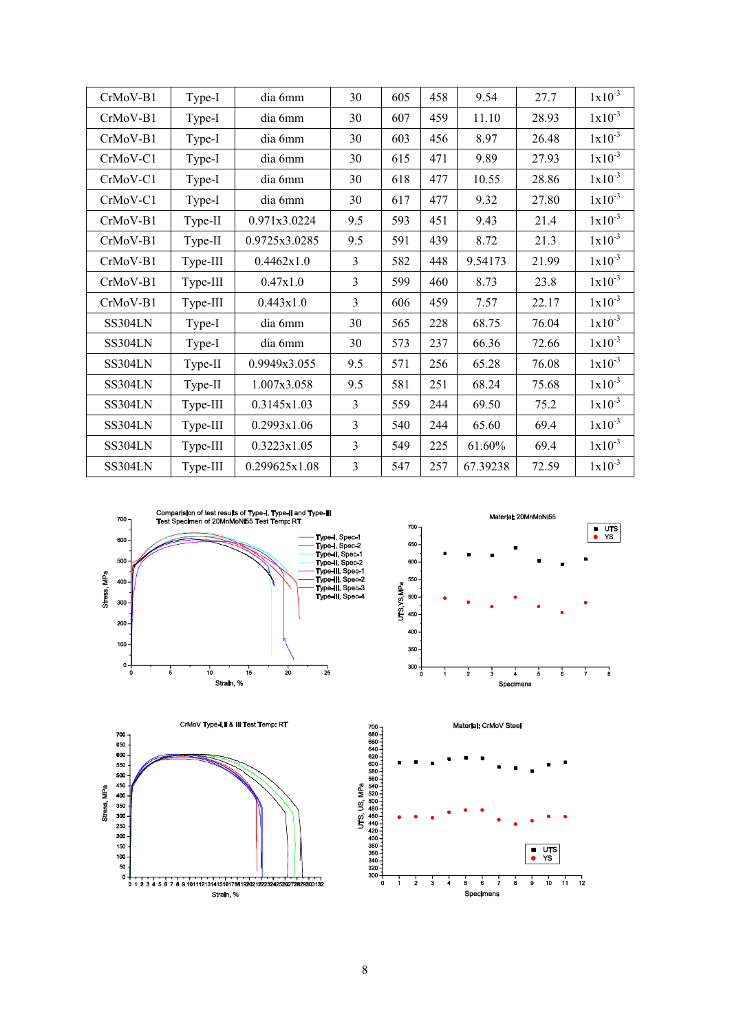| CrMoV-B1   | Type-I   | dia 6mm       | 30  | 605 | 458 | 9.54     | 27.7  | $1x10^{-3}$ |
|------------|----------|---------------|-----|-----|-----|----------|-------|-------------|
| CrMoV-B1   | Type-I   | dia 6mm       | 30  | 607 | 459 | 11.10    | 28.93 | $1x10^{-3}$ |
| CrMoV-B1   | Type-I   | dia 6mm       | 30  | 603 | 456 | 8.97     | 26.48 | $1x10^{-3}$ |
| $CrMoV-C1$ | Type-I   | dia 6mm       | 30  | 615 | 471 | 9.89     | 27.93 | $1x10^{-3}$ |
| CrMoV-C1   | Type-I   | dia 6mm       | 30  | 618 | 477 | 10.55    | 28.86 | $1x10^{-3}$ |
| CrMoV-C1   | Type-I   | dia 6mm       | 30  | 617 | 477 | 9.32     | 27.80 | $1x10^{-3}$ |
| CrMoV-B1   | Type-II  | 0.971x3.0224  | 9.5 | 593 | 451 | 9.43     | 21.4  | $1x10^{-3}$ |
| CrMoV-B1   | Type-II  | 0.9725x3.0285 | 9.5 | 591 | 439 | 8.72     | 21.3  | $1x10^{-3}$ |
| CrMoV-B1   | Type-III | 0.4462x1.0    | 3   | 582 | 448 | 9.54173  | 21.99 | $1x10^{-3}$ |
| CrMoV-B1   | Type-III | 0.47x1.0      | 3   | 599 | 460 | 8.73     | 23.8  | $1x10^{-3}$ |
| CrMoV-B1   | Type-III | 0.443x1.0     | 3   | 606 | 459 | 7.57     | 22.17 | $1x10^{-3}$ |
| SS304LN    | Type-I   | dia 6mm       | 30  | 565 | 228 | 68.75    | 76.04 | $1x10^{-3}$ |
| SS304LN    | Type-I   | dia 6mm       | 30  | 573 | 237 | 66.36    | 72.66 | $1x10^{-3}$ |
| SS304LN    | Type-II  | 0.9949x3.055  | 9.5 | 571 | 256 | 65.28    | 76.08 | $1x10^{-3}$ |
| SS304LN    | Type-II  | 1.007x3.058   | 9.5 | 581 | 251 | 68.24    | 75.68 | $1x10^{-3}$ |
| SS304LN    | Type-III | 0.3145x1.03   | 3   | 559 | 244 | 69.50    | 75.2  | $1x10^{-3}$ |
| SS304LN    | Type-III | 0.2993x1.06   | 3   | 540 | 244 | 65.60    | 69.4  | $1x10^{-3}$ |
| SS304LN    | Type-III | 0.3223x1.05   | 3   | 549 | 225 | 61.60%   | 69.4  | $1x10^{-3}$ |
| SS304LN    | Type-III | 0.299625x1.08 | 3   | 547 | 257 | 67.39238 | 72.59 | $1x10^{-3}$ |









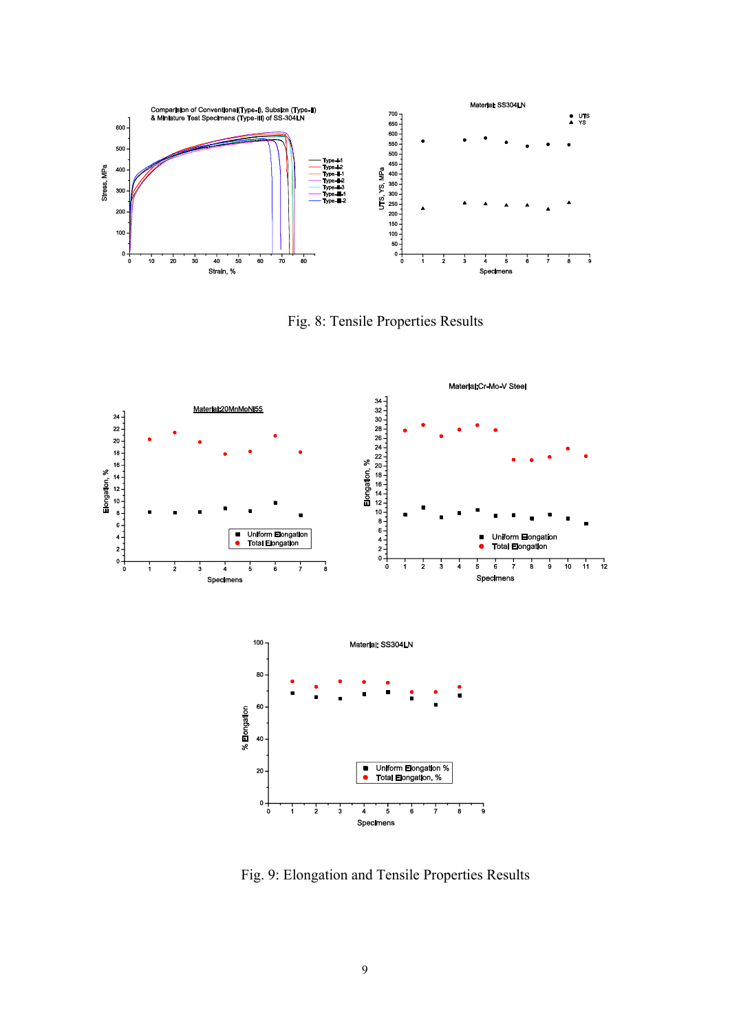

Fig. 8: Tensile Properties Results



Fig. 9: Elongation and Tensile Properties Results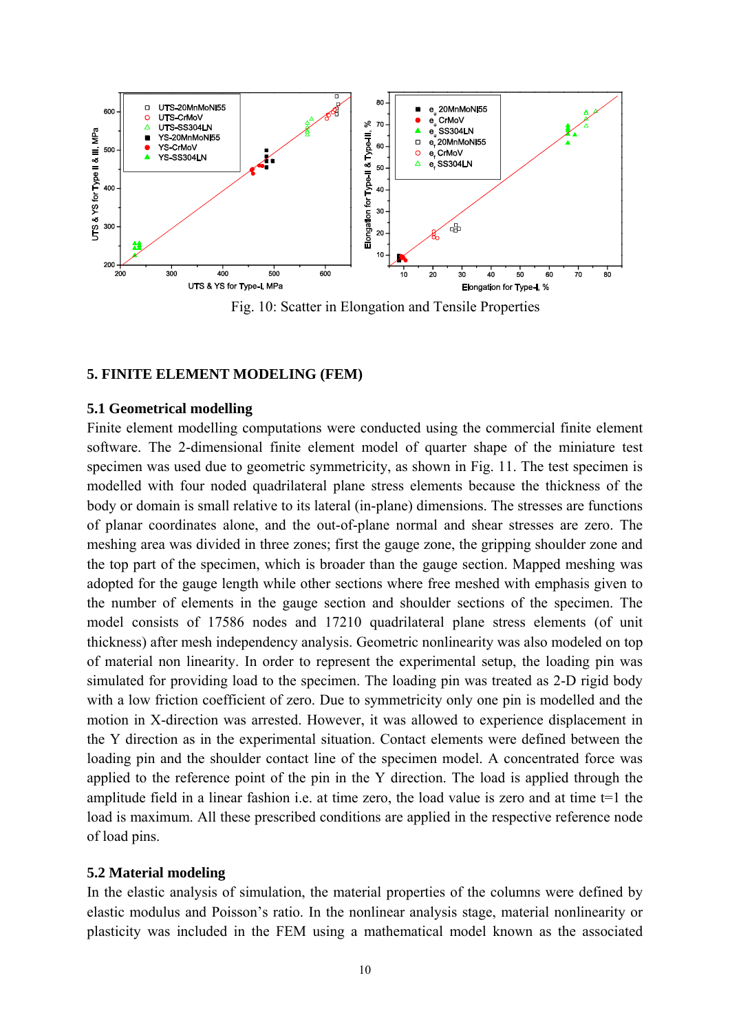

Fig. 10: Scatter in Elongation and Tensile Properties

### **5. FINITE ELEMENT MODELING (FEM)**

#### **5.1 Geometrical modelling**

Finite element modelling computations were conducted using the commercial finite element software. The 2-dimensional finite element model of quarter shape of the miniature test specimen was used due to geometric symmetricity, as shown in Fig. 11. The test specimen is modelled with four noded quadrilateral plane stress elements because the thickness of the body or domain is small relative to its lateral (in-plane) dimensions. The stresses are functions of planar coordinates alone, and the out-of-plane normal and shear stresses are zero. The meshing area was divided in three zones; first the gauge zone, the gripping shoulder zone and the top part of the specimen, which is broader than the gauge section. Mapped meshing was adopted for the gauge length while other sections where free meshed with emphasis given to the number of elements in the gauge section and shoulder sections of the specimen. The model consists of 17586 nodes and 17210 quadrilateral plane stress elements (of unit thickness) after mesh independency analysis. Geometric nonlinearity was also modeled on top of material non linearity. In order to represent the experimental setup, the loading pin was simulated for providing load to the specimen. The loading pin was treated as 2-D rigid body with a low friction coefficient of zero. Due to symmetricity only one pin is modelled and the motion in X-direction was arrested. However, it was allowed to experience displacement in the Y direction as in the experimental situation. Contact elements were defined between the loading pin and the shoulder contact line of the specimen model. A concentrated force was applied to the reference point of the pin in the Y direction. The load is applied through the amplitude field in a linear fashion i.e. at time zero, the load value is zero and at time t=1 the load is maximum. All these prescribed conditions are applied in the respective reference node of load pins.

### **5.2 Material modeling**

In the elastic analysis of simulation, the material properties of the columns were defined by elastic modulus and Poisson's ratio. In the nonlinear analysis stage, material nonlinearity or plasticity was included in the FEM using a mathematical model known as the associated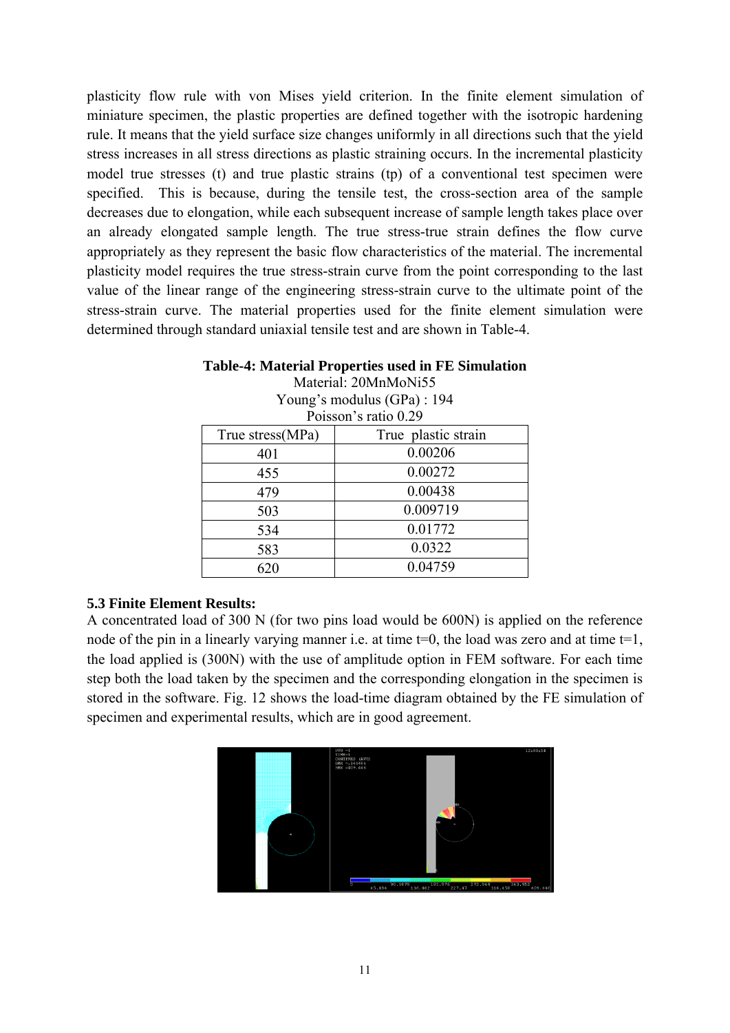plasticity flow rule with von Mises yield criterion. In the finite element simulation of miniature specimen, the plastic properties are defined together with the isotropic hardening rule. It means that the yield surface size changes uniformly in all directions such that the yield stress increases in all stress directions as plastic straining occurs. In the incremental plasticity model true stresses (t) and true plastic strains (tp) of a conventional test specimen were specified. This is because, during the tensile test, the cross-section area of the sample decreases due to elongation, while each subsequent increase of sample length takes place over an already elongated sample length. The true stress-true strain defines the flow curve appropriately as they represent the basic flow characteristics of the material. The incremental plasticity model requires the true stress-strain curve from the point corresponding to the last value of the linear range of the engineering stress-strain curve to the ultimate point of the stress-strain curve. The material properties used for the finite element simulation were determined through standard uniaxial tensile test and are shown in Table-4.

| $1 \text{ cm}$       |                     |  |  |  |  |
|----------------------|---------------------|--|--|--|--|
| Poisson's ratio 0.29 |                     |  |  |  |  |
| True stress(MPa)     | True plastic strain |  |  |  |  |
| 401                  | 0.00206             |  |  |  |  |
| 455                  | 0.00272             |  |  |  |  |
| 479                  | 0.00438             |  |  |  |  |
| 503                  | 0.009719            |  |  |  |  |
| 534                  | 0.01772             |  |  |  |  |
| 583                  | 0.0322              |  |  |  |  |
| 620                  | 0.04759             |  |  |  |  |

#### **Table-4: Material Properties used in FE Simulation**  Material: 20MnMoNi55 Young's modulus (GPa) : 194

# **5.3 Finite Element Results:**

A concentrated load of 300 N (for two pins load would be 600N) is applied on the reference node of the pin in a linearly varying manner i.e. at time  $t=0$ , the load was zero and at time  $t=1$ , the load applied is (300N) with the use of amplitude option in FEM software. For each time step both the load taken by the specimen and the corresponding elongation in the specimen is stored in the software. Fig. 12 shows the load-time diagram obtained by the FE simulation of specimen and experimental results, which are in good agreement.

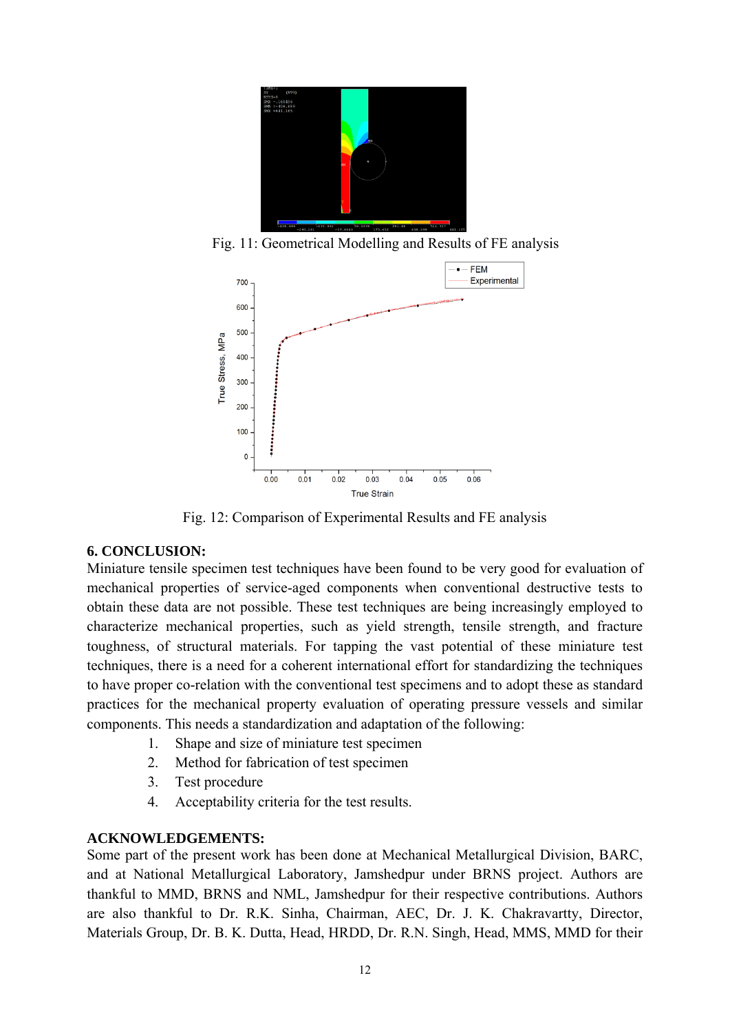

Fig. 11: Geometrical Modelling and Results of FE analysis



Fig. 12: Comparison of Experimental Results and FE analysis

# **6. CONCLUSION:**

Miniature tensile specimen test techniques have been found to be very good for evaluation of mechanical properties of service-aged components when conventional destructive tests to obtain these data are not possible. These test techniques are being increasingly employed to characterize mechanical properties, such as yield strength, tensile strength, and fracture toughness, of structural materials. For tapping the vast potential of these miniature test techniques, there is a need for a coherent international effort for standardizing the techniques to have proper co-relation with the conventional test specimens and to adopt these as standard practices for the mechanical property evaluation of operating pressure vessels and similar components. This needs a standardization and adaptation of the following:

- 1. Shape and size of miniature test specimen
- 2. Method for fabrication of test specimen
- 3. Test procedure
- 4. Acceptability criteria for the test results.

# **ACKNOWLEDGEMENTS:**

Some part of the present work has been done at Mechanical Metallurgical Division, BARC, and at National Metallurgical Laboratory, Jamshedpur under BRNS project. Authors are thankful to MMD, BRNS and NML, Jamshedpur for their respective contributions. Authors are also thankful to Dr. R.K. Sinha, Chairman, AEC, Dr. J. K. Chakravartty, Director, Materials Group, Dr. B. K. Dutta, Head, HRDD, Dr. R.N. Singh, Head, MMS, MMD for their